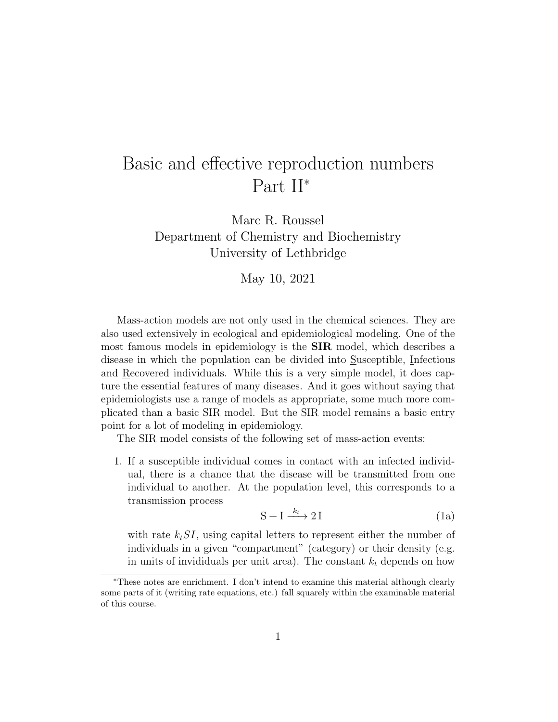## Basic and effective reproduction numbers Part II<sup>∗</sup>

Marc R. Roussel Department of Chemistry and Biochemistry University of Lethbridge

May 10, 2021

Mass-action models are not only used in the chemical sciences. They are also used extensively in ecological and epidemiological modeling. One of the most famous models in epidemiology is the SIR model, which describes a disease in which the population can be divided into Susceptible, Infectious and Recovered individuals. While this is a very simple model, it does capture the essential features of many diseases. And it goes without saying that epidemiologists use a range of models as appropriate, some much more complicated than a basic SIR model. But the SIR model remains a basic entry point for a lot of modeling in epidemiology.

The SIR model consists of the following set of mass-action events:

1. If a susceptible individual comes in contact with an infected individual, there is a chance that the disease will be transmitted from one individual to another. At the population level, this corresponds to a transmission process

$$
S + I \xrightarrow{k_t} 2 I \tag{1a}
$$

with rate  $k_tSI$ , using capital letters to represent either the number of individuals in a given "compartment" (category) or their density (e.g. in units of invididuals per unit area). The constant  $k_t$  depends on how

<sup>∗</sup>These notes are enrichment. I don't intend to examine this material although clearly some parts of it (writing rate equations, etc.) fall squarely within the examinable material of this course.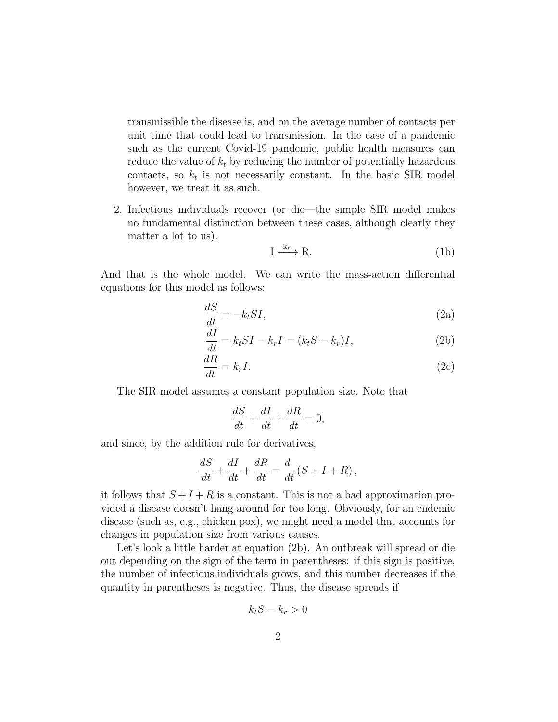transmissible the disease is, and on the average number of contacts per unit time that could lead to transmission. In the case of a pandemic such as the current Covid-19 pandemic, public health measures can reduce the value of  $k_t$  by reducing the number of potentially hazardous contacts, so  $k_t$  is not necessarily constant. In the basic SIR model however, we treat it as such.

2. Infectious individuals recover (or die—the simple SIR model makes no fundamental distinction between these cases, although clearly they matter a lot to us).

$$
I \xrightarrow{k_r} R. \tag{1b}
$$

And that is the whole model. We can write the mass-action differential equations for this model as follows:

$$
\frac{dS}{dt} = -k_t SI,\tag{2a}
$$

$$
\frac{dI}{dt} = k_t SI - k_r I = (k_t S - k_r)I,
$$
\n(2b)

$$
\frac{dR}{dt} = k_r I. \tag{2c}
$$

The SIR model assumes a constant population size. Note that

$$
\frac{dS}{dt} + \frac{dI}{dt} + \frac{dR}{dt} = 0,
$$

and since, by the addition rule for derivatives,

$$
\frac{dS}{dt} + \frac{dI}{dt} + \frac{dR}{dt} = \frac{d}{dt}(S + I + R),
$$

it follows that  $S + I + R$  is a constant. This is not a bad approximation provided a disease doesn't hang around for too long. Obviously, for an endemic disease (such as, e.g., chicken pox), we might need a model that accounts for changes in population size from various causes.

Let's look a little harder at equation (2b). An outbreak will spread or die out depending on the sign of the term in parentheses: if this sign is positive, the number of infectious individuals grows, and this number decreases if the quantity in parentheses is negative. Thus, the disease spreads if

$$
k_t S - k_r > 0
$$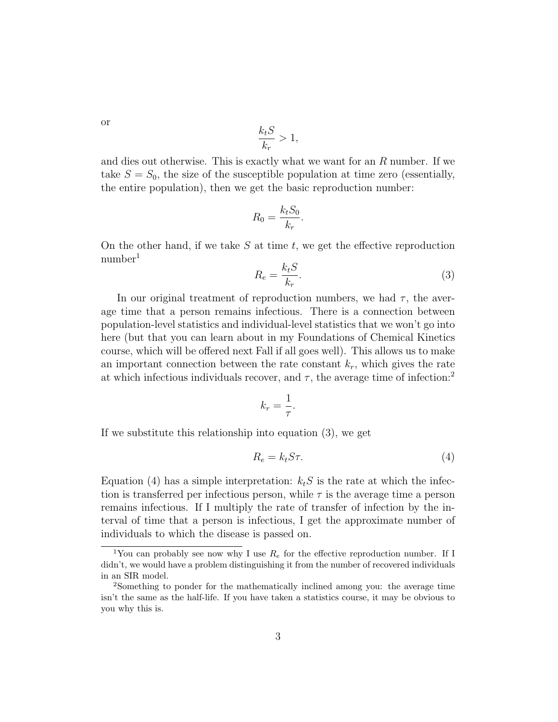or

$$
\frac{k_t S}{k_r} > 1,
$$

and dies out otherwise. This is exactly what we want for an R number. If we take  $S = S_0$ , the size of the susceptible population at time zero (essentially, the entire population), then we get the basic reproduction number:

$$
R_0 = \frac{k_t S_0}{k_r}.
$$

On the other hand, if we take  $S$  at time  $t$ , we get the effective reproduction  $number<sup>1</sup>$ 

$$
R_e = \frac{k_t S}{k_r}.\tag{3}
$$

In our original treatment of reproduction numbers, we had  $\tau$ , the average time that a person remains infectious. There is a connection between population-level statistics and individual-level statistics that we won't go into here (but that you can learn about in my Foundations of Chemical Kinetics course, which will be offered next Fall if all goes well). This allows us to make an important connection between the rate constant  $k_r$ , which gives the rate at which infectious individuals recover, and  $\tau$ , the average time of infection:<sup>2</sup>

$$
k_r = \frac{1}{\tau}.
$$

If we substitute this relationship into equation (3), we get

$$
R_e = k_t S \tau. \tag{4}
$$

Equation (4) has a simple interpretation:  $k_tS$  is the rate at which the infection is transferred per infectious person, while  $\tau$  is the average time a person remains infectious. If I multiply the rate of transfer of infection by the interval of time that a person is infectious, I get the approximate number of individuals to which the disease is passed on.

<sup>&</sup>lt;sup>1</sup>You can probably see now why I use  $R_e$  for the effective reproduction number. If I didn't, we would have a problem distinguishing it from the number of recovered individuals in an SIR model.

<sup>2</sup>Something to ponder for the mathematically inclined among you: the average time isn't the same as the half-life. If you have taken a statistics course, it may be obvious to you why this is.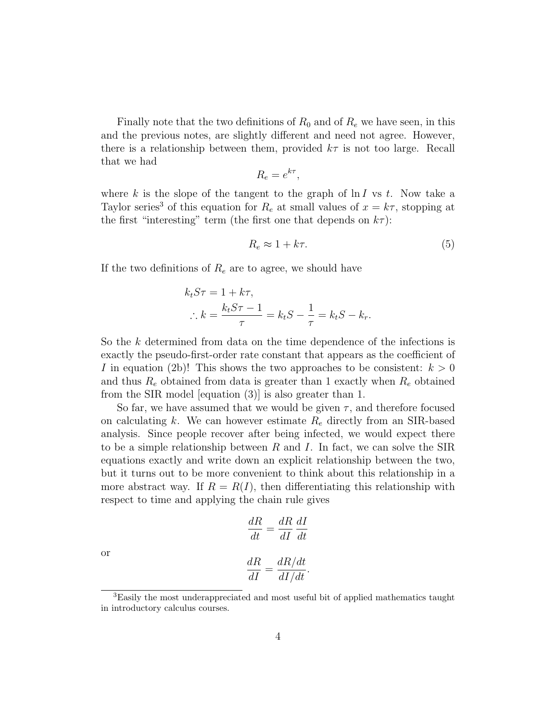Finally note that the two definitions of  $R_0$  and of  $R_e$  we have seen, in this and the previous notes, are slightly different and need not agree. However, there is a relationship between them, provided  $k\tau$  is not too large. Recall that we had

$$
R_e = e^{k\tau},
$$

where k is the slope of the tangent to the graph of  $\ln I$  vs t. Now take a Taylor series<sup>3</sup> of this equation for  $R_e$  at small values of  $x = k\tau$ , stopping at the first "interesting" term (the first one that depends on  $k\tau$ ):

$$
R_e \approx 1 + k\tau. \tag{5}
$$

If the two definitions of  $R_e$  are to agree, we should have

$$
k_t S \tau = 1 + k \tau,
$$
  
\n
$$
\therefore k = \frac{k_t S \tau - 1}{\tau} = k_t S - \frac{1}{\tau} = k_t S - k_r.
$$

So the  $k$  determined from data on the time dependence of the infections is exactly the pseudo-first-order rate constant that appears as the coefficient of I in equation (2b)! This shows the two approaches to be consistent:  $k > 0$ and thus  $R_e$  obtained from data is greater than 1 exactly when  $R_e$  obtained from the SIR model [equation (3)] is also greater than 1.

So far, we have assumed that we would be given  $\tau$ , and therefore focused on calculating k. We can however estimate  $R_e$  directly from an SIR-based analysis. Since people recover after being infected, we would expect there to be a simple relationship between  $R$  and  $I$ . In fact, we can solve the SIR equations exactly and write down an explicit relationship between the two, but it turns out to be more convenient to think about this relationship in a more abstract way. If  $R = R(I)$ , then differentiating this relationship with respect to time and applying the chain rule gives

$$
\frac{dR}{dt} = \frac{dR}{dI} \frac{dI}{dt}
$$

or

$$
\frac{dR}{dI} = \frac{dR/dt}{dI/dt}.
$$

<sup>&</sup>lt;sup>3</sup>Easily the most underappreciated and most useful bit of applied mathematics taught in introductory calculus courses.